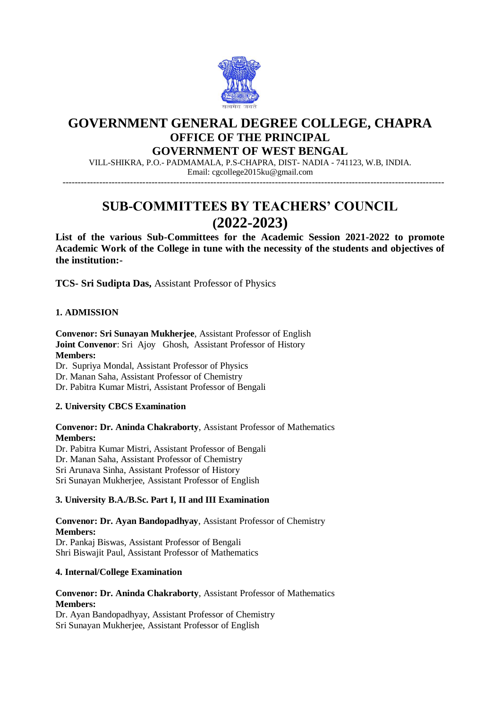

## **GOVERNMENT GENERAL DEGREE COLLEGE, CHAPRA OFFICE OF THE PRINCIPAL**

## **GOVERNMENT OF WEST BENGAL**

VILL-SHIKRA, P.O.- PADMAMALA, P.S-CHAPRA, DIST- NADIA - 741123, W.B, INDIA. Email: cgcollege2015ku@gmail.com

----------------------------------------------------------------------------------------------------------------------------

# **SUB-COMMITTEES BY TEACHERS' COUNCIL (2022-2023)**

**List of the various Sub-Committees for the Academic Session 2021-2022 to promote Academic Work of the College in tune with the necessity of the students and objectives of the institution:-**

**TCS- Sri Sudipta Das,** Assistant Professor of Physics

## **1. ADMISSION**

**Convenor: Sri Sunayan Mukherjee**, Assistant Professor of English **Joint Convenor**: Sri Ajoy Ghosh, Assistant Professor of History **Members:**  Dr. Supriya Mondal, Assistant Professor of Physics Dr. Manan Saha, Assistant Professor of Chemistry Dr. Pabitra Kumar Mistri, Assistant Professor of Bengali

## **2. University CBCS Examination**

**Convenor: Dr. Aninda Chakraborty**, Assistant Professor of Mathematics **Members:** 

Dr. Pabitra Kumar Mistri, Assistant Professor of Bengali Dr. Manan Saha, Assistant Professor of Chemistry Sri Arunava Sinha, Assistant Professor of History Sri Sunayan Mukherjee, Assistant Professor of English

#### **3. University B.A./B.Sc. Part I, II and III Examination**

**Convenor: Dr. Ayan Bandopadhyay**, Assistant Professor of Chemistry **Members:** Dr. Pankaj Biswas, Assistant Professor of Bengali

Shri Biswajit Paul, Assistant Professor of Mathematics

## **4. Internal/College Examination**

## **Convenor: Dr. Aninda Chakraborty**, Assistant Professor of Mathematics **Members:**

Dr. Ayan Bandopadhyay, Assistant Professor of Chemistry Sri Sunayan Mukherjee, Assistant Professor of English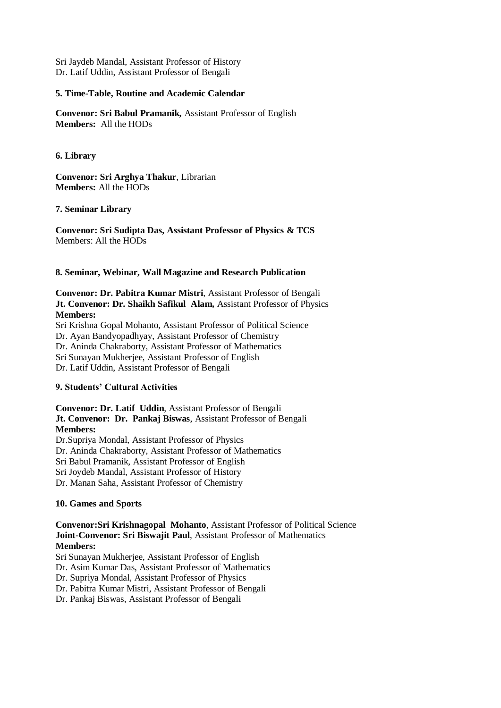Sri Jaydeb Mandal, Assistant Professor of History Dr. Latif Uddin, Assistant Professor of Bengali

#### **5. Time-Table, Routine and Academic Calendar**

**Convenor: Sri Babul Pramanik,** Assistant Professor of English **Members:** All the HODs

**6. Library**

**Convenor: Sri Arghya Thakur**, Librarian **Members:** All the HODs

#### **7. Seminar Library**

**Convenor: Sri Sudipta Das, Assistant Professor of Physics & TCS** Members: All the HODs

## **8. Seminar, Webinar, Wall Magazine and Research Publication**

**Convenor: Dr. Pabitra Kumar Mistri**, Assistant Professor of Bengali **Jt. Convenor: Dr. Shaikh Safikul Alam,** Assistant Professor of Physics **Members:** 

Sri Krishna Gopal Mohanto, Assistant Professor of Political Science Dr. Ayan Bandyopadhyay, Assistant Professor of Chemistry Dr. Aninda Chakraborty, Assistant Professor of Mathematics Sri Sunayan Mukherjee, Assistant Professor of English Dr. Latif Uddin, Assistant Professor of Bengali

#### **9. Students' Cultural Activities**

## **Convenor: Dr. Latif Uddin**, Assistant Professor of Bengali **Jt. Convenor: Dr. Pankaj Biswas**, Assistant Professor of Bengali **Members:**

Dr.Supriya Mondal, Assistant Professor of Physics Dr. Aninda Chakraborty, Assistant Professor of Mathematics Sri Babul Pramanik, Assistant Professor of English Sri Joydeb Mandal, Assistant Professor of History Dr. Manan Saha, Assistant Professor of Chemistry

## **10. Games and Sports**

## **Convenor:Sri Krishnagopal Mohanto**, Assistant Professor of Political Science **Joint-Convenor: Sri Biswajit Paul**, Assistant Professor of Mathematics **Members:**

Sri Sunayan Mukherjee, Assistant Professor of English

Dr. Asim Kumar Das, Assistant Professor of Mathematics

Dr. Supriya Mondal, Assistant Professor of Physics

Dr. Pabitra Kumar Mistri, Assistant Professor of Bengali

Dr. Pankaj Biswas, Assistant Professor of Bengali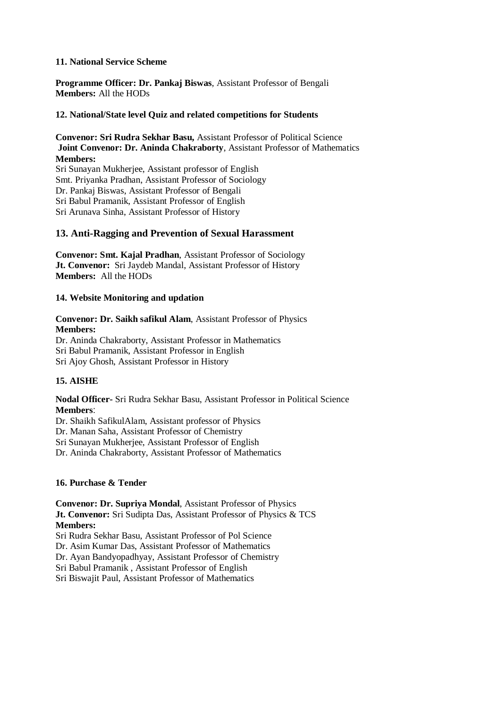## **11. National Service Scheme**

**Programme Officer: Dr. Pankaj Biswas**, Assistant Professor of Bengali **Members:** All the HODs

## **12. National/State level Quiz and related competitions for Students**

## **Convenor: Sri Rudra Sekhar Basu,** Assistant Professor of Political Science **Joint Convenor: Dr. Aninda Chakraborty**, Assistant Professor of Mathematics **Members:**

Sri Sunayan Mukherjee, Assistant professor of English Smt. Priyanka Pradhan, Assistant Professor of Sociology Dr. Pankaj Biswas, Assistant Professor of Bengali Sri Babul Pramanik, Assistant Professor of English Sri Arunava Sinha, Assistant Professor of History

## **13. Anti-Ragging and Prevention of Sexual Harassment**

**Convenor: Smt. Kajal Pradhan**, Assistant Professor of Sociology **Jt. Convenor:** Sri Jaydeb Mandal, Assistant Professor of History **Members:** All the HODs

## **14. Website Monitoring and updation**

#### **Convenor: Dr. Saikh safikul Alam**, Assistant Professor of Physics **Members:**  Dr. Aninda Chakraborty, Assistant Professor in Mathematics Sri Babul Pramanik, Assistant Professor in English Sri Ajoy Ghosh, Assistant Professor in History

## **15. AISHE**

**Nodal Officer-** Sri Rudra Sekhar Basu, Assistant Professor in Political Science **Members**:

Dr. Shaikh SafikulAlam, Assistant professor of Physics Dr. Manan Saha, Assistant Professor of Chemistry Sri Sunayan Mukherjee, Assistant Professor of English

Dr. Aninda Chakraborty, Assistant Professor of Mathematics

## **16. Purchase & Tender**

**Convenor: Dr. Supriya Mondal**, Assistant Professor of Physics **Jt. Convenor:** Sri Sudipta Das, Assistant Professor of Physics & TCS **Members:** 

Sri Rudra Sekhar Basu, Assistant Professor of Pol Science

Dr. Asim Kumar Das, Assistant Professor of Mathematics

Dr. Ayan Bandyopadhyay, Assistant Professor of Chemistry

Sri Babul Pramanik , Assistant Professor of English

Sri Biswajit Paul, Assistant Professor of Mathematics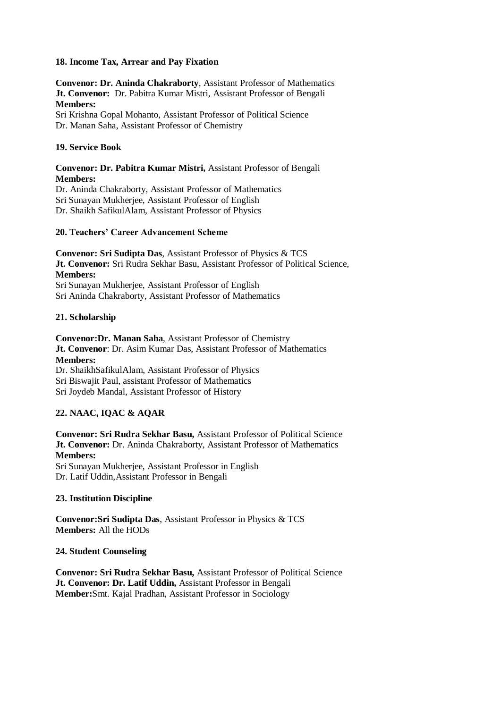## **18. Income Tax, Arrear and Pay Fixation**

**Convenor: Dr. Aninda Chakraborty**, Assistant Professor of Mathematics **Jt. Convenor:** Dr. Pabitra Kumar Mistri, Assistant Professor of Bengali **Members:**

Sri Krishna Gopal Mohanto, Assistant Professor of Political Science Dr. Manan Saha, Assistant Professor of Chemistry

## **19. Service Book**

#### **Convenor: Dr. Pabitra Kumar Mistri,** Assistant Professor of Bengali **Members:**

Dr. Aninda Chakraborty, Assistant Professor of Mathematics Sri Sunayan Mukherjee, Assistant Professor of English Dr. Shaikh SafikulAlam, Assistant Professor of Physics

#### **20. Teachers' Career Advancement Scheme**

**Convenor: Sri Sudipta Das**, Assistant Professor of Physics & TCS **Jt. Convenor:** Sri Rudra Sekhar Basu, Assistant Professor of Political Science, **Members:** Sri Sunayan Mukherjee, Assistant Professor of English Sri Aninda Chakraborty, Assistant Professor of Mathematics

#### **21. Scholarship**

**Convenor:Dr. Manan Saha**, Assistant Professor of Chemistry **Jt. Convenor**: Dr. Asim Kumar Das, Assistant Professor of Mathematics **Members:** Dr. ShaikhSafikulAlam, Assistant Professor of Physics Sri Biswajit Paul, assistant Professor of Mathematics

Sri Joydeb Mandal, Assistant Professor of History

## **22. NAAC, IQAC & AQAR**

**Convenor: Sri Rudra Sekhar Basu,** Assistant Professor of Political Science **Jt. Convenor:** Dr. Aninda Chakraborty, Assistant Professor of Mathematics **Members:**  Sri Sunayan Mukherjee, Assistant Professor in English Dr. Latif Uddin,Assistant Professor in Bengali

#### **23. Institution Discipline**

**Convenor:Sri Sudipta Das**, Assistant Professor in Physics & TCS **Members:** All the HODs

#### **24. Student Counseling**

**Convenor: Sri Rudra Sekhar Basu,** Assistant Professor of Political Science **Jt. Convenor: Dr. Latif Uddin,** Assistant Professor in Bengali **Member:**Smt. Kajal Pradhan, Assistant Professor in Sociology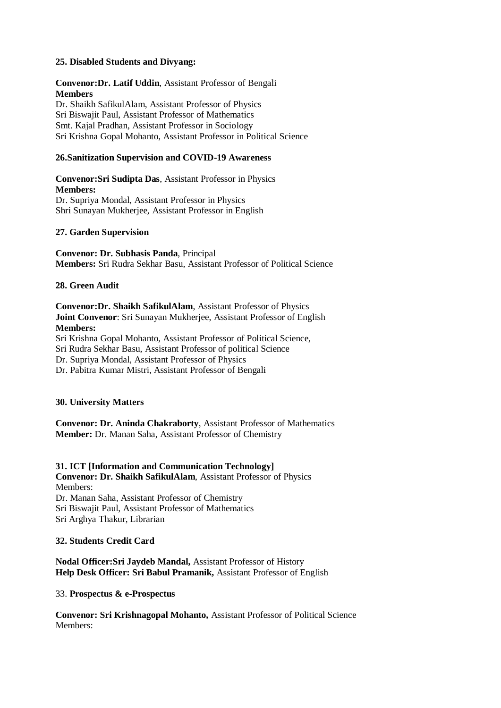## **25. Disabled Students and Divyang:**

## **Convenor:Dr. Latif Uddin**, Assistant Professor of Bengali **Members** Dr. Shaikh SafikulAlam, Assistant Professor of Physics Sri Biswajit Paul, Assistant Professor of Mathematics

Smt. Kajal Pradhan, Assistant Professor in Sociology

## Sri Krishna Gopal Mohanto, Assistant Professor in Political Science

## **26.Sanitization Supervision and COVID-19 Awareness**

**Convenor:Sri Sudipta Das**, Assistant Professor in Physics **Members:** Dr. Supriya Mondal, Assistant Professor in Physics Shri Sunayan Mukherjee, Assistant Professor in English

#### **27. Garden Supervision**

**Convenor: Dr. Subhasis Panda**, Principal **Members:** Sri Rudra Sekhar Basu, Assistant Professor of Political Science

#### **28. Green Audit**

**Convenor:Dr. Shaikh SafikulAlam**, Assistant Professor of Physics **Joint Convenor**: Sri Sunayan Mukherjee, Assistant Professor of English **Members:** Sri Krishna Gopal Mohanto, Assistant Professor of Political Science, Sri Rudra Sekhar Basu, Assistant Professor of political Science

Dr. Supriya Mondal, Assistant Professor of Physics

Dr. Pabitra Kumar Mistri, Assistant Professor of Bengali

#### **30. University Matters**

**Convenor: Dr. Aninda Chakraborty**, Assistant Professor of Mathematics **Member:** Dr. Manan Saha, Assistant Professor of Chemistry

#### **31. ICT [Information and Communication Technology]**

**Convenor: Dr. Shaikh SafikulAlam**, Assistant Professor of Physics Members: Dr. Manan Saha, Assistant Professor of Chemistry

Sri Biswajit Paul, Assistant Professor of Mathematics Sri Arghya Thakur, Librarian

#### **32. Students Credit Card**

**Nodal Officer:Sri Jaydeb Mandal,** Assistant Professor of History **Help Desk Officer: Sri Babul Pramanik,** Assistant Professor of English

33. **Prospectus & e-Prospectus**

**Convenor: Sri Krishnagopal Mohanto,** Assistant Professor of Political Science Members: